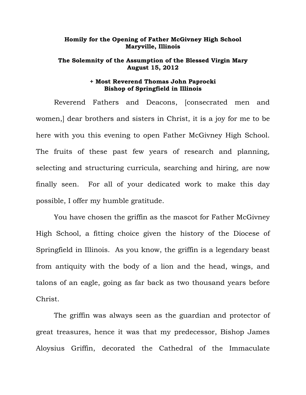## **Homily for the Opening of Father McGivney High School Maryville, Illinois**

## **The Solemnity of the Assumption of the Blessed Virgin Mary August 15, 2012**

## **+ Most Reverend Thomas John Paprocki Bishop of Springfield in Illinois**

 Reverend Fathers and Deacons, [consecrated men and women,] dear brothers and sisters in Christ, it is a joy for me to be here with you this evening to open Father McGivney High School. The fruits of these past few years of research and planning, selecting and structuring curricula, searching and hiring, are now finally seen. For all of your dedicated work to make this day possible, I offer my humble gratitude.

You have chosen the griffin as the mascot for Father McGivney High School, a fitting choice given the history of the Diocese of Springfield in Illinois. As you know, the griffin is a legendary beast from antiquity with the body of a lion and the head, wings, and talons of an eagle, going as far back as two thousand years before Christ.

 The griffin was always seen as the guardian and protector of great treasures, hence it was that my predecessor, Bishop James Aloysius Griffin, decorated the Cathedral of the Immaculate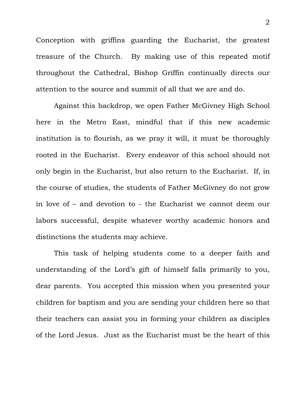Conception with griffins guarding the Eucharist, the greatest treasure of the Church. By making use of this repeated motif throughout the Cathedral, Bishop Griffin continually directs our attention to the source and summit of all that we are and do.

 Against this backdrop, we open Father McGivney High School here in the Metro East, mindful that if this new academic institution is to flourish, as we pray it will, it must be thoroughly rooted in the Eucharist. Every endeavor of this school should not only begin in the Eucharist, but also return to the Eucharist. If, in the course of studies, the students of Father McGivney do not grow in love of – and devotion to - the Eucharist we cannot deem our labors successful, despite whatever worthy academic honors and distinctions the students may achieve.

 This task of helping students come to a deeper faith and understanding of the Lord's gift of himself falls primarily to you, dear parents. You accepted this mission when you presented your children for baptism and you are sending your children here so that their teachers can assist you in forming your children as disciples of the Lord Jesus. Just as the Eucharist must be the heart of this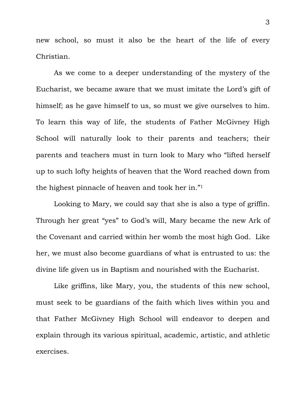new school, so must it also be the heart of the life of every Christian.

 As we come to a deeper understanding of the mystery of the Eucharist, we became aware that we must imitate the Lord's gift of himself; as he gave himself to us, so must we give ourselves to him. To learn this way of life, the students of Father McGivney High School will naturally look to their parents and teachers; their parents and teachers must in turn look to Mary who "lifted herself up to such lofty heights of heaven that the Word reached down from the highest pinnacle of heaven and took her in."1

Looking to Mary, we could say that she is also a type of griffin. Through her great "yes" to God's will, Mary became the new Ark of the Covenant and carried within her womb the most high God. Like her, we must also become guardians of what is entrusted to us: the divine life given us in Baptism and nourished with the Eucharist.

 Like griffins, like Mary, you, the students of this new school, must seek to be guardians of the faith which lives within you and that Father McGivney High School will endeavor to deepen and explain through its various spiritual, academic, artistic, and athletic exercises.